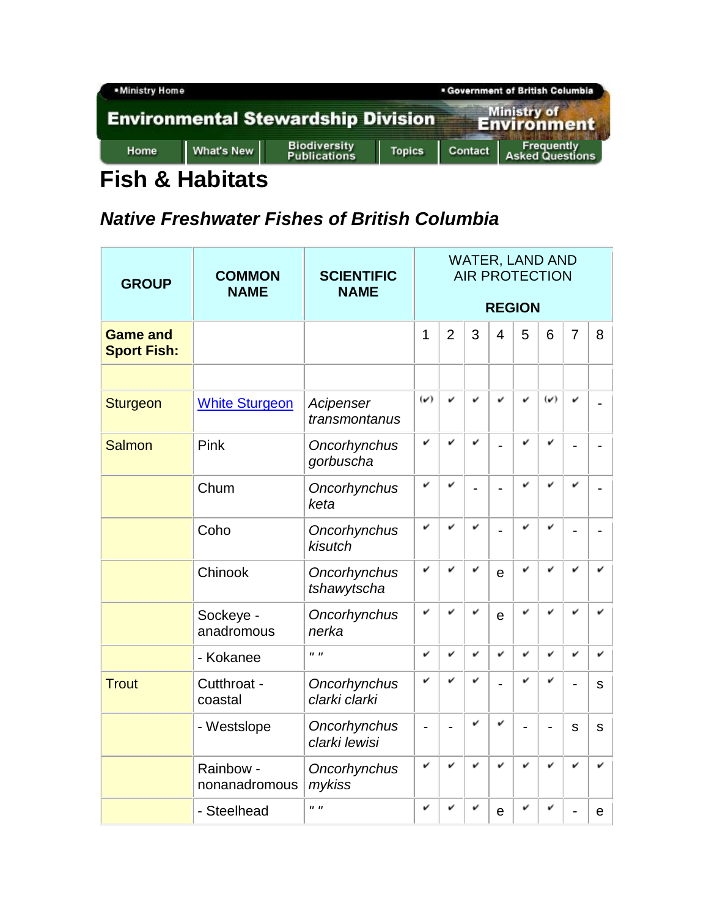

## **Fish & Habitats**

## **Native Freshwater Fishes of British Columbia**

| <b>GROUP</b>                          | <b>COMMON</b><br><b>NAME</b> | <b>SCIENTIFIC</b><br><b>NAME</b> | <b>WATER, LAND AND</b><br><b>AIR PROTECTION</b> |                |   |                |   |                |   |              |  |  |  |
|---------------------------------------|------------------------------|----------------------------------|-------------------------------------------------|----------------|---|----------------|---|----------------|---|--------------|--|--|--|
|                                       |                              |                                  | <b>REGION</b>                                   |                |   |                |   |                |   |              |  |  |  |
| <b>Game and</b><br><b>Sport Fish:</b> |                              |                                  | $\overline{1}$                                  | $\overline{2}$ | 3 | $\overline{4}$ | 5 | 6              | 7 | 8            |  |  |  |
|                                       |                              |                                  |                                                 |                |   |                |   |                |   |              |  |  |  |
| Sturgeon                              | <b>White Sturgeon</b>        | Acipenser<br>transmontanus       | $(\checkmark)$                                  | v              | v | v              | v | $(\checkmark)$ | v |              |  |  |  |
| <b>Salmon</b>                         | Pink                         | Oncorhynchus<br>gorbuscha        | v                                               | v              | v | L,             | v | v              |   |              |  |  |  |
|                                       | Chum                         | Oncorhynchus<br>keta             | v                                               | v              |   | $\overline{a}$ | v | v              | v |              |  |  |  |
|                                       | Coho                         | Oncorhynchus<br>kisutch          | v                                               | v              | v | $\overline{a}$ | v | v              |   |              |  |  |  |
|                                       | Chinook                      | Oncorhynchus<br>tshawytscha      | v                                               | v              | v | e              | v | v              | v | v            |  |  |  |
|                                       | Sockeye -<br>anadromous      | Oncorhynchus<br>nerka            | v                                               | v              | v | $\mathbf e$    | v | v              | u |              |  |  |  |
|                                       | - Kokanee                    | $\mathbf{u}$ $\mathbf{u}$        | v                                               | v              | v | v              | v | v              | v | v            |  |  |  |
| <b>Trout</b>                          | Cutthroat -<br>coastal       | Oncorhynchus<br>clarki clarki    | v                                               |                | v |                | v | v              |   | S            |  |  |  |
|                                       | - Westslope                  | Oncorhynchus<br>clarki lewisi    |                                                 |                | v | v              |   |                | S | $\mathsf{s}$ |  |  |  |
|                                       | Rainbow -<br>nonanadromous   | Oncorhynchus<br>mykiss           | v                                               | v              | v | v              | v | v              |   |              |  |  |  |
|                                       | - Steelhead                  | $II$ $II$                        | v                                               | v              | v | $\mathbf e$    | v | v              |   | е            |  |  |  |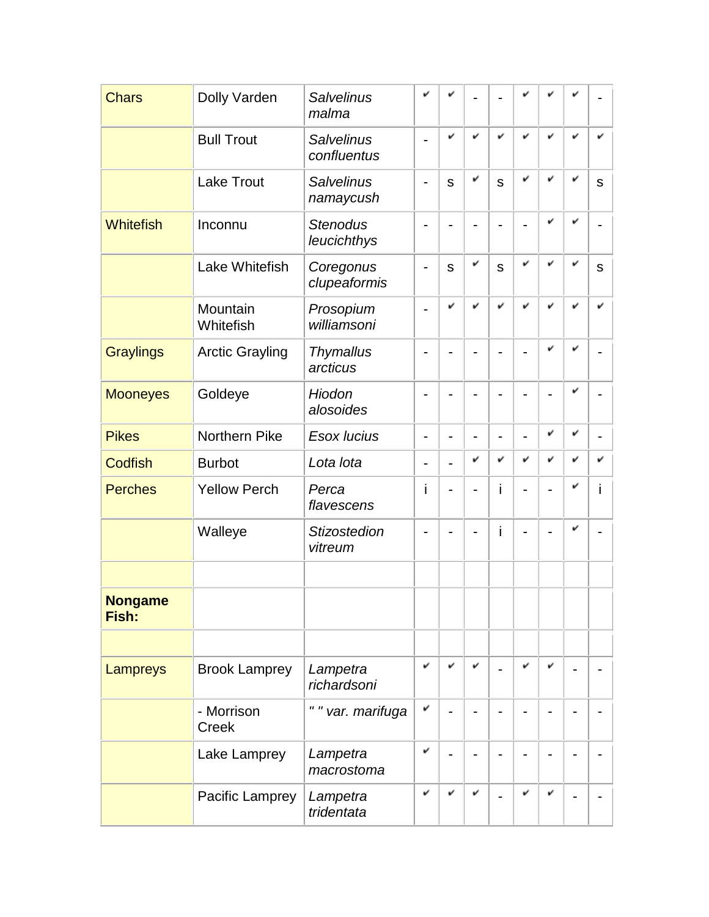| <b>Chars</b>            | Dolly Varden               | <b>Salvelinus</b><br>malma       | v              |              |   |                |   |   |   |              |
|-------------------------|----------------------------|----------------------------------|----------------|--------------|---|----------------|---|---|---|--------------|
|                         | <b>Bull Trout</b>          | <b>Salvelinus</b><br>confluentus |                | v            | v | v              | v | v |   | v            |
|                         | <b>Lake Trout</b>          | <b>Salvelinus</b><br>namaycush   |                | S            | v | $\mathsf{s}$   | v | v | v | S            |
| <b>Whitefish</b>        | Inconnu                    | <b>Stenodus</b><br>leucichthys   |                |              |   |                |   | v |   |              |
|                         | Lake Whitefish             | Coregonus<br>clupeaformis        | -              | $\mathsf{s}$ | v | $\mathsf{s}$   | v | v |   | $\mathsf{s}$ |
|                         | Mountain<br>Whitefish      | Prosopium<br>williamsoni         |                |              |   | v              |   | v |   |              |
| <b>Graylings</b>        | <b>Arctic Grayling</b>     | <b>Thymallus</b><br>arcticus     |                |              |   |                |   | v |   |              |
| <b>Mooneyes</b>         | Goldeye                    | Hiodon<br>alosoides              |                |              |   |                |   |   | v |              |
| <b>Pikes</b>            | Northern Pike              | Esox lucius                      | $\overline{a}$ |              |   | $\overline{a}$ |   | v | v |              |
| <b>Codfish</b>          | <b>Burbot</b>              | Lota lota                        | -              |              | v | v              | v | v | v | v            |
| <b>Perches</b>          | <b>Yellow Perch</b>        | Perca<br>flavescens              | i              |              |   | i              |   |   | v | i            |
|                         | Walleye                    | <b>Stizostedion</b><br>vitreum   |                |              |   | i              |   |   |   |              |
|                         |                            |                                  |                |              |   |                |   |   |   |              |
| <b>Nongame</b><br>Fish: |                            |                                  |                |              |   |                |   |   |   |              |
|                         |                            |                                  |                |              |   |                |   |   |   |              |
| Lampreys                | <b>Brook Lamprey</b>       | Lampetra<br>richardsoni          | v              | v            | v |                | v | v |   |              |
|                         | - Morrison<br><b>Creek</b> | " " var. marifuga                | v              |              |   |                |   |   |   |              |
|                         | Lake Lamprey               | Lampetra<br>macrostoma           | v              |              |   |                |   |   |   |              |
|                         | Pacific Lamprey            | Lampetra<br>tridentata           | v              |              | v |                | v | v |   |              |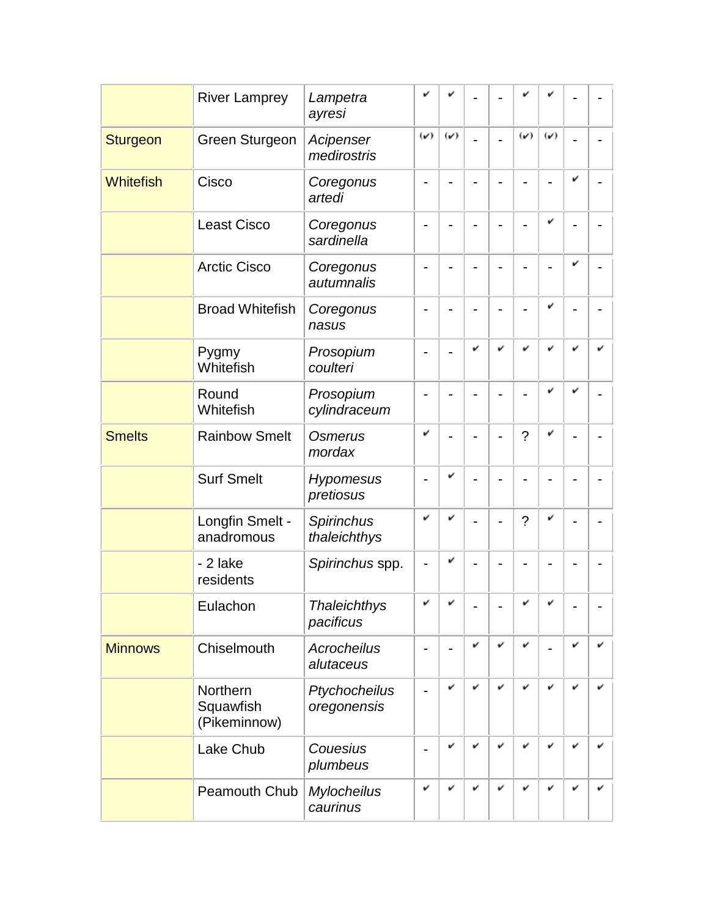|                  | <b>River Lamprey</b>                  | Lampetra<br>ayresi               | v                            |                |   |   |                |                          |   |  |
|------------------|---------------------------------------|----------------------------------|------------------------------|----------------|---|---|----------------|--------------------------|---|--|
| <b>Sturgeon</b>  | <b>Green Sturgeon</b>                 | Acipenser<br>medirostris         | $(\checkmark)$               | $(\check{v})$  |   |   | $(\check{v})$  | $(\nu)$                  |   |  |
| <b>Whitefish</b> | Cisco                                 | Coregonus<br>artedi              |                              |                |   |   |                |                          | v |  |
|                  | <b>Least Cisco</b>                    | Coregonus<br>sardinella          |                              |                |   |   |                | v                        |   |  |
|                  | <b>Arctic Cisco</b>                   | Coregonus<br>autumnalis          |                              |                |   |   |                |                          | v |  |
|                  | <b>Broad Whitefish</b>                | Coregonus<br>nasus               |                              |                |   |   |                | v                        |   |  |
|                  | Pygmy<br>Whitefish                    | Prosopium<br>coulteri            |                              |                | v | v |                | v                        |   |  |
|                  | Round<br>Whitefish                    | Prosopium<br>cylindraceum        |                              |                |   |   |                | v                        | v |  |
| <b>Smelts</b>    | <b>Rainbow Smelt</b>                  | Osmerus<br>mordax                | v                            |                |   |   | $\overline{?}$ | v                        |   |  |
|                  | <b>Surf Smelt</b>                     | <b>Hypomesus</b><br>pretiosus    |                              | v              |   |   |                |                          |   |  |
|                  | Longfin Smelt -<br>anadromous         | Spirinchus<br>thaleichthys       | v                            | v              |   |   | $\gamma$       | v                        |   |  |
|                  | - 2 lake<br>residents                 | Spirinchus spp.                  |                              | v              |   |   |                |                          |   |  |
|                  | Eulachon                              | <b>Thaleichthys</b><br>pacificus | $\overline{a}$               | $\overline{a}$ |   |   | ر.             | $\overline{\phantom{a}}$ |   |  |
| <b>Minnows</b>   | Chiselmouth                           | <b>Acrocheilus</b><br>alutaceus  | $\blacksquare$               |                | v | v | v              |                          | v |  |
|                  | Northern<br>Squawfish<br>(Pikeminnow) | Ptychocheilus<br>oregonensis     | $\qquad \qquad \blacksquare$ | v              | v | v | v              | v                        | v |  |
|                  | Lake Chub                             | Couesius<br>plumbeus             |                              | v              | v | v | v              | v                        | v |  |
|                  | <b>Peamouth Chub</b>                  | <b>Mylocheilus</b><br>caurinus   | v                            | v              | v | v | v              | v                        | v |  |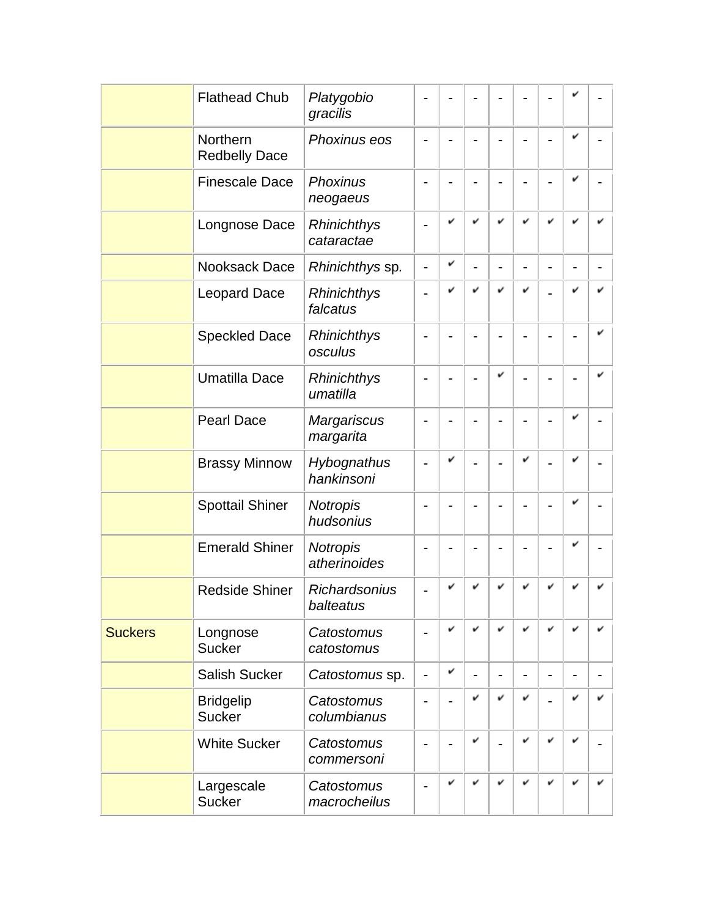|                | <b>Flathead Chub</b>              | Platygobio<br>gracilis          |                              |   |   |                              |   |                          |   |   |
|----------------|-----------------------------------|---------------------------------|------------------------------|---|---|------------------------------|---|--------------------------|---|---|
|                | Northern<br><b>Redbelly Dace</b>  | Phoxinus eos                    |                              |   |   |                              |   |                          | v |   |
|                | <b>Finescale Dace</b>             | Phoxinus<br>neogaeus            |                              |   |   |                              |   |                          | v |   |
|                | Longnose Dace                     | Rhinichthys<br>cataractae       |                              |   | v | v                            | v |                          |   |   |
|                | Nooksack Dace                     | Rhinichthys sp.                 | $\overline{\phantom{0}}$     | v |   | $\qquad \qquad \blacksquare$ |   |                          |   |   |
|                | <b>Leopard Dace</b>               | Rhinichthys<br>falcatus         |                              | v | v | v                            | v |                          |   |   |
|                | <b>Speckled Dace</b>              | Rhinichthys<br>osculus          |                              |   |   |                              |   |                          |   |   |
|                | <b>Umatilla Dace</b>              | Rhinichthys<br>umatilla         |                              |   |   | v                            |   |                          |   |   |
|                | <b>Pearl Dace</b>                 | <b>Margariscus</b><br>margarita |                              |   |   |                              |   |                          | v |   |
|                | <b>Brassy Minnow</b>              | Hybognathus<br>hankinsoni       |                              | v |   |                              | v |                          | v |   |
|                | <b>Spottail Shiner</b>            | <b>Notropis</b><br>hudsonius    |                              |   |   |                              |   |                          | v |   |
|                | <b>Emerald Shiner</b>             | <b>Notropis</b><br>atherinoides |                              |   |   |                              |   |                          | v |   |
|                | <b>Redside Shiner</b>             | Richardsonius<br>balteatus      |                              |   |   | v                            |   |                          |   |   |
| <b>Suckers</b> | Longnose<br><b>Sucker</b>         | Catostomus<br>catostomus        |                              | v | v | v                            | v | v                        | v | v |
|                | <b>Salish Sucker</b>              | Catostomus sp.                  | $\qquad \qquad \blacksquare$ | v |   | -                            |   | $\overline{\phantom{0}}$ |   |   |
|                | <b>Bridgelip</b><br><b>Sucker</b> | Catostomus<br>columbianus       |                              |   | v | v                            | v |                          | v | v |
|                | <b>White Sucker</b>               | Catostomus<br>commersoni        |                              |   | v |                              | v | v                        | v |   |
|                | Largescale<br><b>Sucker</b>       | Catostomus<br>macrocheilus      |                              | v | v | v                            | v | v                        | v | v |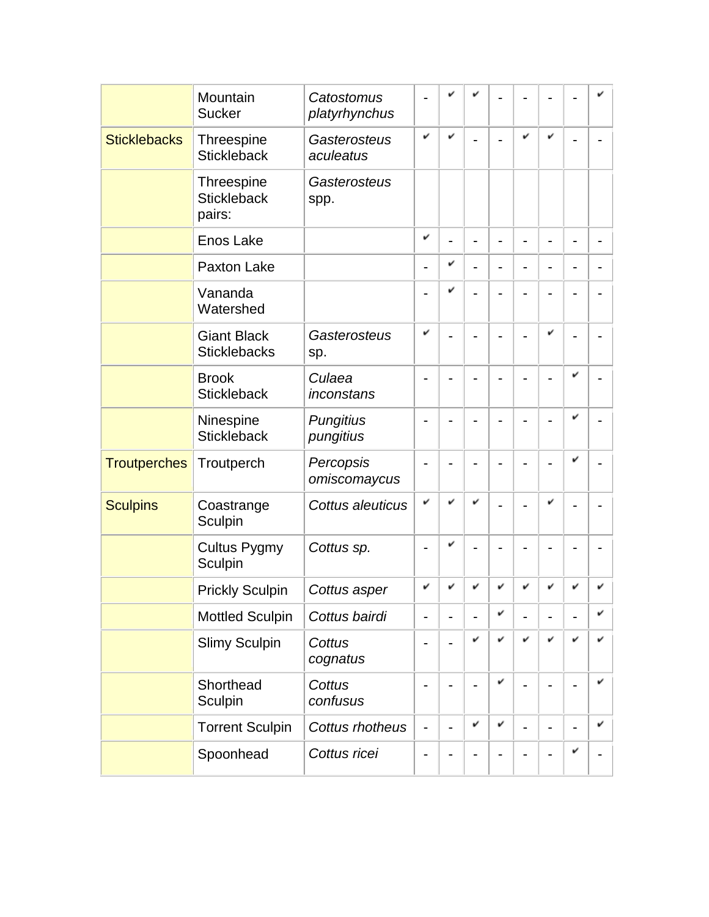|                     | Mountain                                          | Catostomus                    |                          |   |                |                |   |   |                |   |
|---------------------|---------------------------------------------------|-------------------------------|--------------------------|---|----------------|----------------|---|---|----------------|---|
|                     | <b>Sucker</b>                                     | platyrhynchus                 |                          |   |                |                |   |   |                |   |
| <b>Sticklebacks</b> | Threespine<br><b>Stickleback</b>                  | Gasterosteus<br>aculeatus     | v                        |   |                |                | v | v |                |   |
|                     | <b>Threespine</b><br><b>Stickleback</b><br>pairs: | Gasterosteus<br>spp.          |                          |   |                |                |   |   |                |   |
|                     | <b>Enos Lake</b>                                  |                               | v                        |   |                | $\blacksquare$ |   |   | $\blacksquare$ |   |
|                     | Paxton Lake                                       |                               | -                        | v |                | $\blacksquare$ |   |   |                |   |
|                     | Vananda<br>Watershed                              |                               |                          | v |                |                |   |   |                |   |
|                     | <b>Giant Black</b><br><b>Sticklebacks</b>         | Gasterosteus<br>sp.           | v                        |   |                |                |   | v |                |   |
|                     | <b>Brook</b><br><b>Stickleback</b>                | Culaea<br>inconstans          |                          |   |                |                |   |   |                |   |
|                     | Ninespine<br><b>Stickleback</b>                   | <b>Pungitius</b><br>pungitius |                          |   |                |                |   |   |                |   |
| <b>Troutperches</b> | Troutperch                                        | Percopsis<br>omiscomaycus     |                          |   |                |                |   |   |                |   |
| <b>Sculpins</b>     | Coastrange<br>Sculpin                             | Cottus aleuticus              | v                        |   |                |                |   | v |                |   |
|                     | <b>Cultus Pygmy</b><br>Sculpin                    | Cottus sp.                    |                          | v |                |                |   |   |                |   |
|                     | <b>Prickly Sculpin</b>                            | Cottus asper                  | v                        |   |                | v              |   |   |                |   |
|                     | <b>Mottled Sculpin</b>                            | Cottus bairdi                 | -                        |   |                | v              |   |   |                | v |
|                     | <b>Slimy Sculpin</b>                              | Cottus<br>cognatus            | -                        |   | v              | v              | v | v | v              | v |
|                     | Shorthead<br>Sculpin                              | Cottus<br>confusus            |                          |   | $\blacksquare$ | v              |   |   |                | v |
|                     | <b>Torrent Sculpin</b>                            | Cottus rhotheus               | $\overline{\phantom{0}}$ |   | v              | v              |   |   |                | v |
|                     | Spoonhead                                         | Cottus ricei                  | -                        |   |                |                |   |   | v              |   |